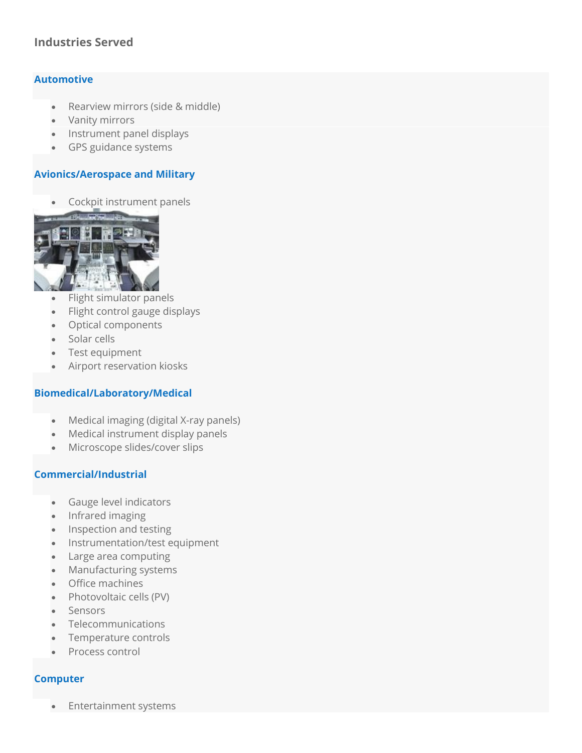# **Industries Served**

# **Automotive**

- Rearview mirrors (side & middle)
- Vanity mirrors
- Instrument panel displays
- GPS guidance systems

# **Avionics/Aerospace and Military**

• Cockpit instrument panels



- Flight simulator panels
- Flight control gauge displays
- Optical components
- Solar cells
- Test equipment
- Airport reservation kiosks

### **Biomedical/Laboratory/Medical**

- Medical imaging (digital X-ray panels)
- Medical instrument display panels
- Microscope slides/cover slips

### **Commercial/Industrial**

- Gauge level indicators
- Infrared imaging
- Inspection and testing
- Instrumentation/test equipment
- Large area computing
- Manufacturing systems
- Office machines
- Photovoltaic cells (PV)
- Sensors
- Telecommunications
- Temperature controls
- Process control

### **Computer**

• Entertainment systems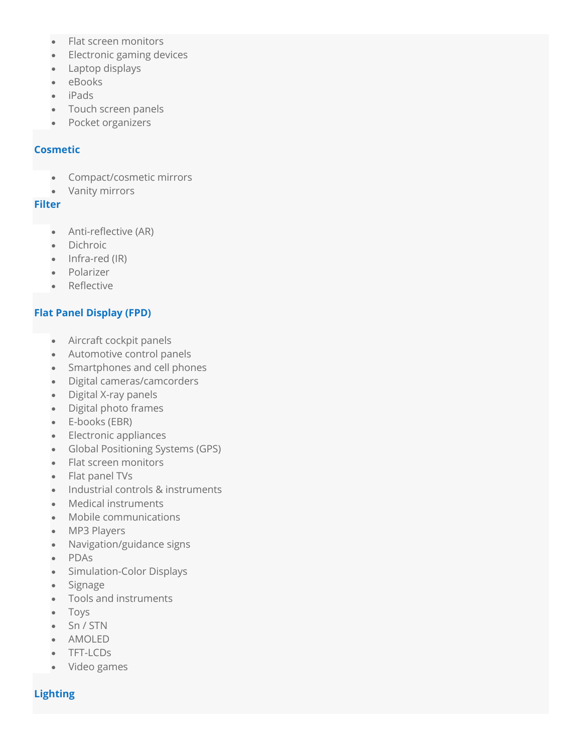- Flat screen monitors
- Electronic gaming devices
- Laptop displays
- eBooks
- iPads
- Touch screen panels
- Pocket organizers

#### **Cosmetic**

- Compact/cosmetic mirrors
- Vanity mirrors

#### **Filter**

- Anti-reflective (AR)
- Dichroic
- Infra-red (IR)
- Polarizer
- Reflective

# **Flat Panel Display (FPD)**

- Aircraft cockpit panels
- Automotive control panels
- Smartphones and cell phones
- Digital cameras/camcorders
- Digital X-ray panels
- Digital photo frames
- E-books (EBR)
- Electronic appliances
- Global Positioning Systems (GPS)
- Flat screen monitors
- Flat panel TVs
- Industrial controls & instruments
- Medical instruments
- Mobile communications
- MP3 Players
- Navigation/guidance signs
- PDAs
- Simulation-Color Displays
- Signage
- Tools and instruments
- Toys
- Sn / STN
- AMOLED
- TFT-LCDs
- Video games

# **Lighting**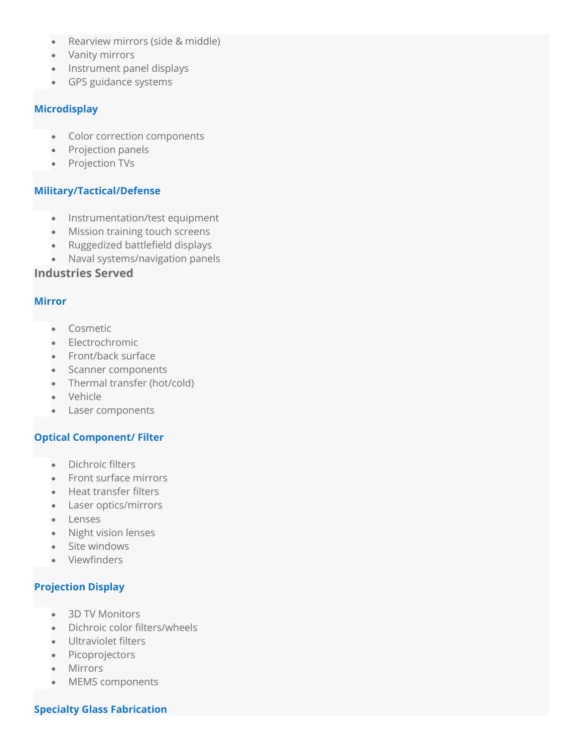- Rearview mirrors (side & middle)
- Vanity mirrors
- Instrument panel displays
- GPS guidance systems

#### **Microdisplay**

- Color correction components
- Projection panels
- Projection TVs

### **Military/Tactical/Defense**

- Instrumentation/test equipment
- Mission training touch screens
- Ruggedized battlefield displays
- Naval systems/navigation panels

# **Industries Served**

#### **Mirror**

- Cosmetic
- Electrochromic
- Front/back surface
- Scanner components
- Thermal transfer (hot/cold)
- Vehicle
- Laser components

### **Optical Component/ Filter**

- Dichroic filters
- Front surface mirrors
- Heat transfer filters
- Laser optics/mirrors
- Lenses
- Night vision lenses
- Site windows
- Viewfinders

# **Projection Display**

- 3D TV Monitors
- Dichroic color filters/wheels
- Ultraviolet filters
- Picoprojectors
- Mirrors
- MEMS components

### **Specialty Glass Fabrication**